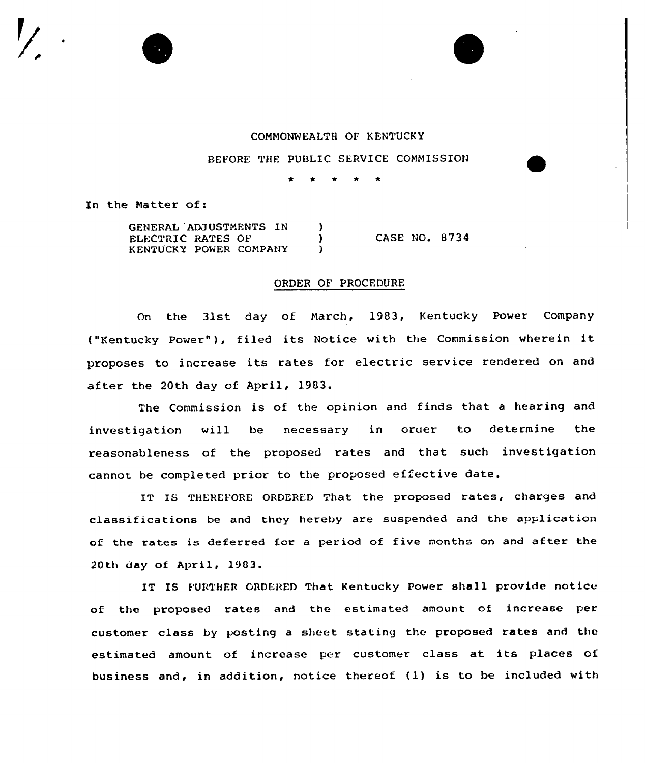

BEFORE THE PUBLIC SERVICE COMMISSION

In the Matter of:

| GENERAL ADJUSTMENTS IN |  |               |  |
|------------------------|--|---------------|--|
| ELECTRIC RATES OF      |  | CASE NO. 8734 |  |
| KENTUCKY POWER COMPANY |  |               |  |

## ORDER OF PROCEDURE

On the 31st day of March, 1983, Kentucky Power Company ("Kentucky Power" ), filed its Notice with the Commission wherein it proposes to increase its rates for electric service rendered on and after the 20th day of April, 1903.

The Commission is of the opinion and finds that a hearing and investigation will be necessary in order to determine the reasonableness of the proposed rates and that such investigation cannot be completed prior to the proposed effective date.

IT IS THEREFORE ORDERED That the proposed rates, charges and classifications be and they hereby are suspended and the application of the rates is deferred for <sup>a</sup> period of five months on and after the 20th day of April, 1903.

IT IS FURTHER ORDERED That Kentucky Power shall provide notice of the proposed rates and the estimated amount of increase per customer class by posting a sheet stating the proposed rates and the estimated amount of increase per customer class at its places of business and, in addition, notice thereof (1) is to be included with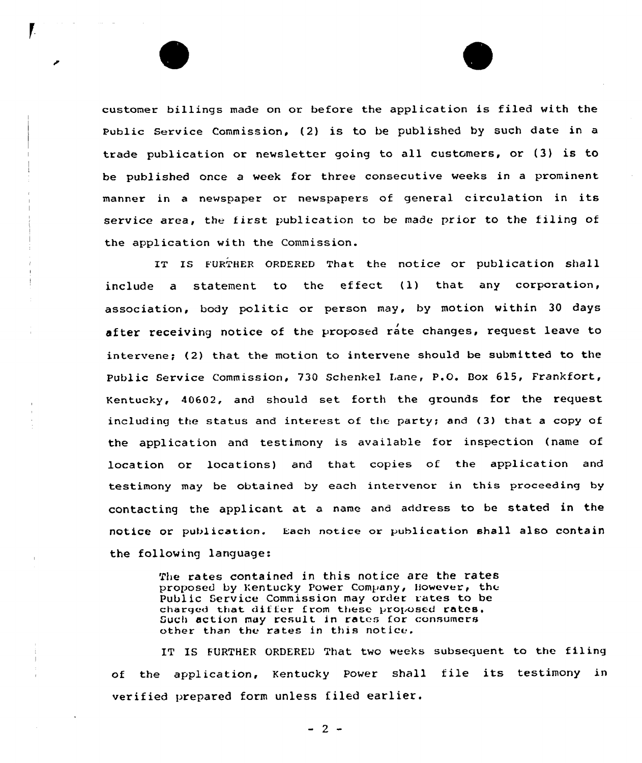customer billings made on or before the application is filed with the Public Service Commission, (2) is to be published by such date in a trade publication or newsletter going to all customers, or (3) is to be published once a week for three consecutive weeks in a prominent manner in <sup>a</sup> newspaper or newspapers of general circulation in its service area, the first publication to be made prior to the filing of the application with the Commission.

IT IS FURTHER ORDERED That the notice or publication shall include a statement to the effect (1) that any corporation, association, body politic or person may, by motion within 30 days after receiving notice of the proposed rate changes, request leave to intervene; (2) that the motion to intervene should be submitted to the Public Service Commission, 730 Schenkel Lane, P.O. Box 615, Frankfort, Kentucky, 40602, and should set forth the grounds for the request including the status and interest of the party; and (3) that a copy of the application and testimony is available for inspection (name of location or locations) and that copies of the application and testimony may be obtained by each intervenor in this proceeding by contacting the applicant at. a name and address to be stated in the notice or publication. Each notice or publication shall also contain the following language:

> The rates contained in this notice are the rates proposed by Kentucky Power Company, However, the Public Service Commission may order rates to be charged that differ from these proposed rates. Such action may result in rates for consumers other than the rates in this notice.

IT IS FURTHER ORDERED That two weeks subsequent to the filing of the application, Kentucky Power shall file its testimony in verified prepared form unless filed earlier.

 $-2$  -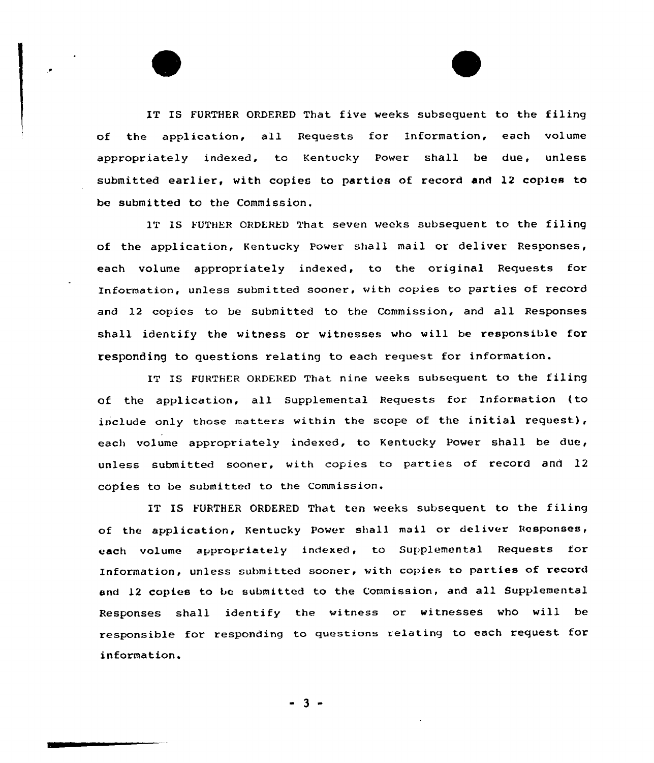IT IS FURTHER ORDERED That five weeks subsequent to the filing of the application, all Bequests for Infoxmation, each valume appxopriately indexed, to Kentucky Power shall be due, unless submitted earlier, with copies to parties of record and 12 copies to be submitted to the Commission.

IT IS FUTHER ORDERED That seven weeks subsequent to the filing of the application, Kentucky Power shall mail or deliver Responses, each volume appropriately indexed, to the ariginal Requests for Information, unless submitted sooner, with copies ta parties of record and 12 copies to be submitted to the Commission, and all Responses shall identify the witness ar witnesses who will be xesponsible for responding to questions relating to each request for information.

IT IS FURTHER ORDERED That nine weeks subsequent to the filing of the application, all Supplemental Requests for Information (to include only those matters within the scope of the initial request), each volume appropriately indexed, to Kentucky Power shall be due, unless submitted sooner, with copies ta parties of record and 12 copies to be submitted to the Commission.

IT IS FURTHER ORDERED That ten veeks subsequent to the filing of the application, Kentucky Power shall mail or deliver Responses, each volume appropriately indexed, to Supplemental Requests for Information, unless submitted sooner, vith copies to parties of record and <sup>12</sup> copies to be submitted to the Commission, and all Supplemental Responses shall identify the vitness or witnesses vho vill be responsible for responding to questions relating to each request for information.

 $-3 -$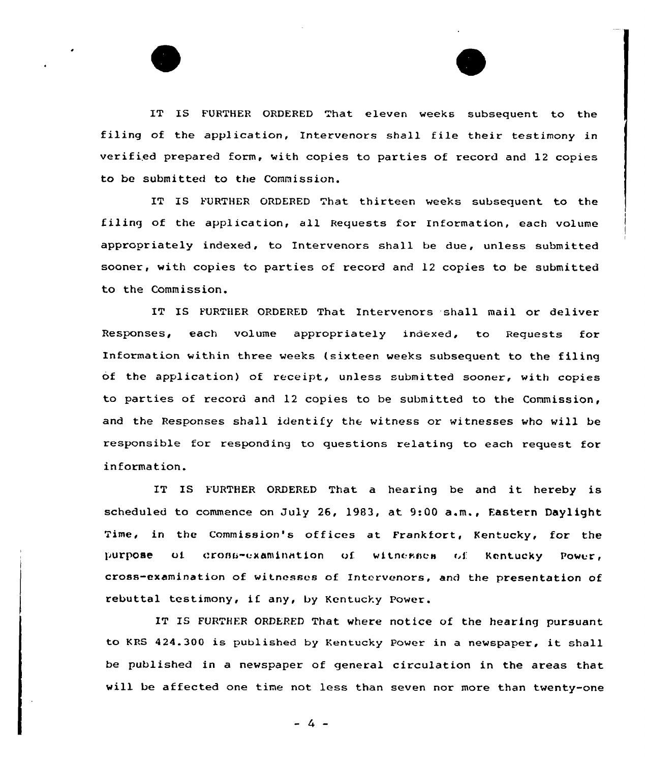IT IS FURTHER ORDERED That eleven weeks subsequent to the filing of the application, Intervenors shall file their testimony in verified prepared form, with copies to parties of record and 12 copies to be submitted to the Commission.

IT IS FURTHER ORDERED That thirteen weeks subsequent to the filing of the application, all Requests for Information, each volume appropriately indexed, to Intervenors shall be due, unless submitted sooner, with copies to parties of record and 12 copies to be submitted to the Commission.

IT IS FURTHER ORDERED That Intervenors shall mail or deliver Responses, each volume appropriately indexed, to Requests for Information within three weeks (sixteen weeks subsequent to the filing of the application) of receipt, unless ubmitted sooner, with copies to parties of record and 12 copies to be submitted to the Commission, and the Responses shall identify the witness or witnesses who will be responsible for responding to questions relating to each request for information.

IT IS FURTHER ORDERED That <sup>a</sup> hearing be and it hereby is scheduled to commence on July 26, 1983, at 9:00 a.m., Eastern Daylight Time, in the Commission's offices at Frankfort, Kentucky, for the purpose of cross-examination of witnesses of Kentucky Power, cross-examination of witnesses of Intervenors, and the presentation of rebuttal testimony, if any, by Kentucky Power.

IT IS FURTHER ORDERED That where notice of the hearing pursuant to KRS 424.300 is published by Kentucky Power in <sup>a</sup> newspaper, it shall be published in a newspaper of general circulation in the areas that will be affected one time not less than seven nor more than twenty-one

 $-4 -$